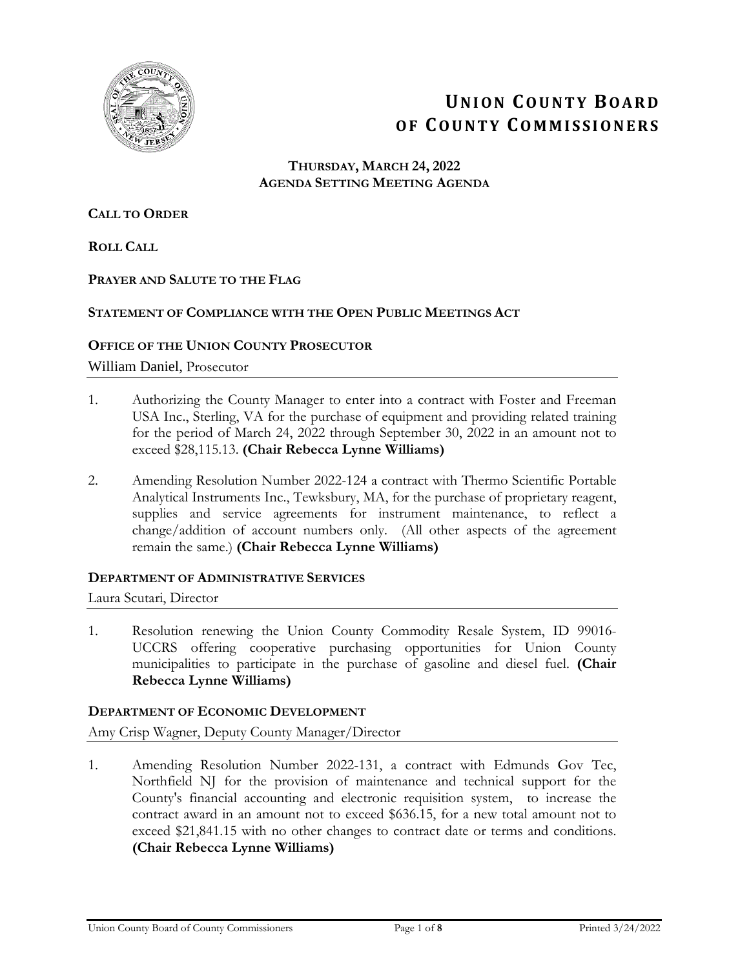

# **UNION COUNTY BOARD OF COUNTY COMMISSIONERS**

#### **THURSDAY, MARCH 24, 2022 AGENDA SETTING MEETING AGENDA**

## **CALL TO ORDER**

**ROLL CALL**

#### **PRAYER AND SALUTE TO THE FLAG**

## **STATEMENT OF COMPLIANCE WITH THE OPEN PUBLIC MEETINGS ACT**

#### **OFFICE OF THE UNION COUNTY PROSECUTOR**

William Daniel, Prosecutor

- 1. Authorizing the County Manager to enter into a contract with Foster and Freeman USA Inc., Sterling, VA for the purchase of equipment and providing related training for the period of March 24, 2022 through September 30, 2022 in an amount not to exceed \$28,115.13. **(Chair Rebecca Lynne Williams)**
- 2. Amending Resolution Number 2022-124 a contract with Thermo Scientific Portable Analytical Instruments Inc., Tewksbury, MA, for the purchase of proprietary reagent, supplies and service agreements for instrument maintenance, to reflect a change/addition of account numbers only. (All other aspects of the agreement remain the same.) **(Chair Rebecca Lynne Williams)**

#### **DEPARTMENT OF ADMINISTRATIVE SERVICES**

Laura Scutari, Director

1. Resolution renewing the Union County Commodity Resale System, ID 99016- UCCRS offering cooperative purchasing opportunities for Union County municipalities to participate in the purchase of gasoline and diesel fuel. **(Chair Rebecca Lynne Williams)**

#### **DEPARTMENT OF ECONOMIC DEVELOPMENT**

Amy Crisp Wagner, Deputy County Manager/Director

1. Amending Resolution Number 2022-131, a contract with Edmunds Gov Tec, Northfield NJ for the provision of maintenance and technical support for the County's financial accounting and electronic requisition system, to increase the contract award in an amount not to exceed \$636.15, for a new total amount not to exceed \$21,841.15 with no other changes to contract date or terms and conditions. **(Chair Rebecca Lynne Williams)**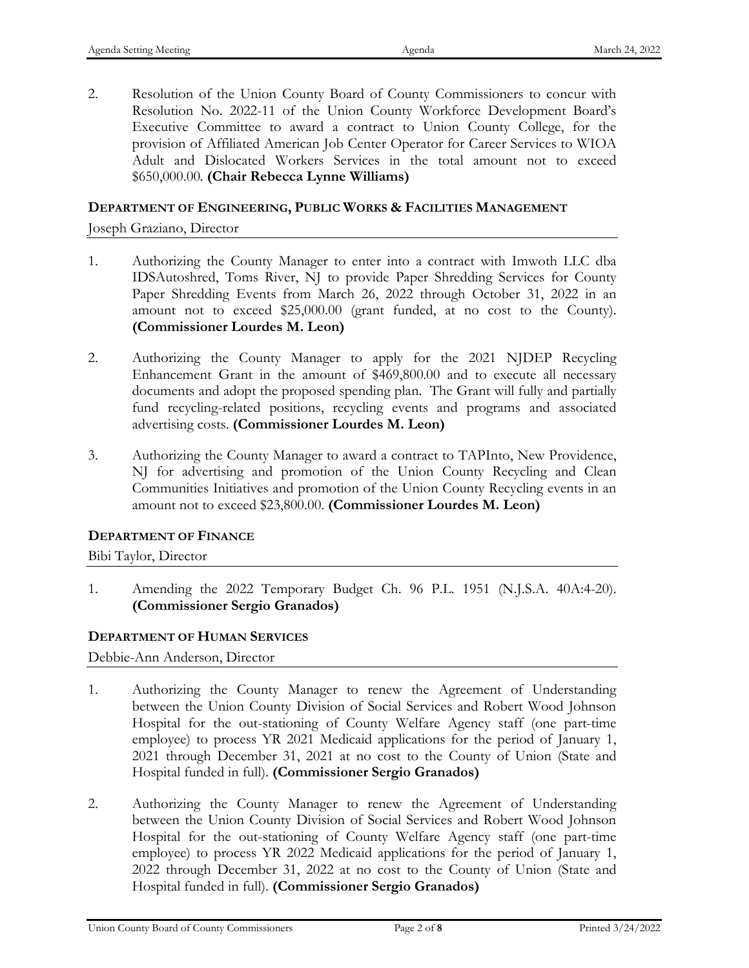2. Resolution of the Union County Board of County Commissioners to concur with Resolution No. 2022-11 of the Union County Workforce Development Board's Executive Committee to award a contract to Union County College, for the provision of Affiliated American Job Center Operator for Career Services to WIOA Adult and Dislocated Workers Services in the total amount not to exceed \$650,000.00. **(Chair Rebecca Lynne Williams)**

# **DEPARTMENT OF ENGINEERING, PUBLIC WORKS & FACILITIES MANAGEMENT**

Joseph Graziano, Director

- 1. Authorizing the County Manager to enter into a contract with Imwoth LLC dba IDSAutoshred, Toms River, NJ to provide Paper Shredding Services for County Paper Shredding Events from March 26, 2022 through October 31, 2022 in an amount not to exceed \$25,000.00 (grant funded, at no cost to the County). **(Commissioner Lourdes M. Leon)**
- 2. Authorizing the County Manager to apply for the 2021 NJDEP Recycling Enhancement Grant in the amount of \$469,800.00 and to execute all necessary documents and adopt the proposed spending plan. The Grant will fully and partially fund recycling-related positions, recycling events and programs and associated advertising costs. **(Commissioner Lourdes M. Leon)**
- 3. Authorizing the County Manager to award a contract to TAPInto, New Providence, NJ for advertising and promotion of the Union County Recycling and Clean Communities Initiatives and promotion of the Union County Recycling events in an amount not to exceed \$23,800.00. **(Commissioner Lourdes M. Leon)**

#### **DEPARTMENT OF FINANCE**

Bibi Taylor, Director

1. Amending the 2022 Temporary Budget Ch. 96 P.L. 1951 (N.J.S.A. 40A:4-20). **(Commissioner Sergio Granados)**

#### **DEPARTMENT OF HUMAN SERVICES**

Debbie-Ann Anderson, Director

- 1. Authorizing the County Manager to renew the Agreement of Understanding between the Union County Division of Social Services and Robert Wood Johnson Hospital for the out-stationing of County Welfare Agency staff (one part-time employee) to process YR 2021 Medicaid applications for the period of January 1, 2021 through December 31, 2021 at no cost to the County of Union (State and Hospital funded in full). **(Commissioner Sergio Granados)**
- 2. Authorizing the County Manager to renew the Agreement of Understanding between the Union County Division of Social Services and Robert Wood Johnson Hospital for the out-stationing of County Welfare Agency staff (one part-time employee) to process YR 2022 Medicaid applications for the period of January 1, 2022 through December 31, 2022 at no cost to the County of Union (State and Hospital funded in full). **(Commissioner Sergio Granados)**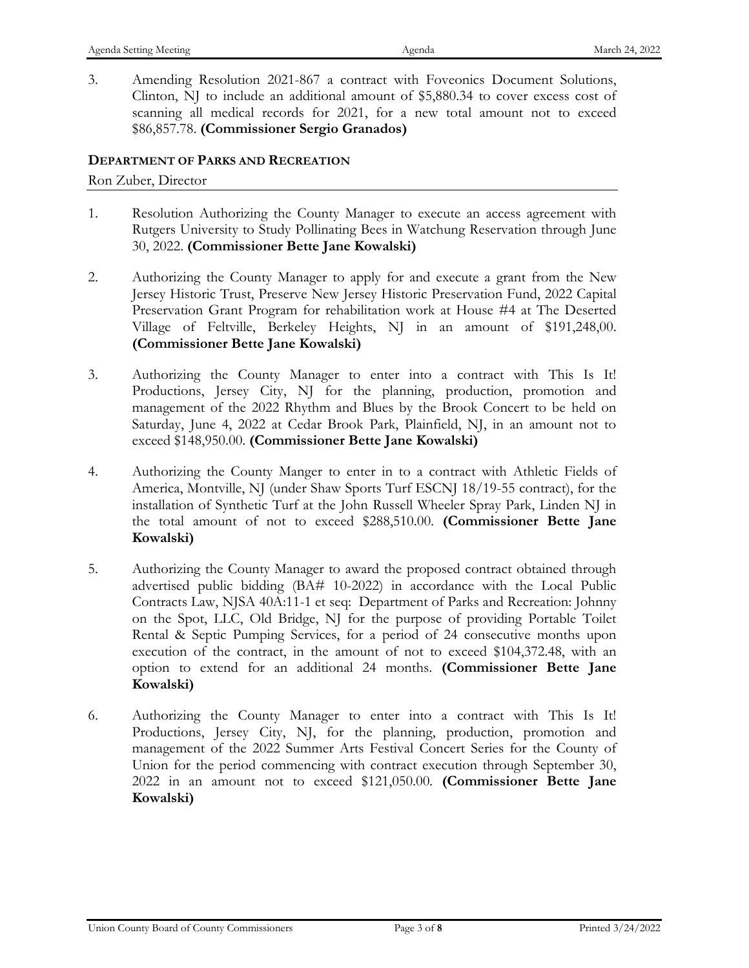3. Amending Resolution 2021-867 a contract with Foveonics Document Solutions, Clinton, NJ to include an additional amount of \$5,880.34 to cover excess cost of scanning all medical records for 2021, for a new total amount not to exceed \$86,857.78. **(Commissioner Sergio Granados)**

#### **DEPARTMENT OF PARKS AND RECREATION**

#### Ron Zuber, Director

- 1. Resolution Authorizing the County Manager to execute an access agreement with Rutgers University to Study Pollinating Bees in Watchung Reservation through June 30, 2022. **(Commissioner Bette Jane Kowalski)**
- 2. Authorizing the County Manager to apply for and execute a grant from the New Jersey Historic Trust, Preserve New Jersey Historic Preservation Fund, 2022 Capital Preservation Grant Program for rehabilitation work at House #4 at The Deserted Village of Feltville, Berkeley Heights, NJ in an amount of \$191,248,00. **(Commissioner Bette Jane Kowalski)**
- 3. Authorizing the County Manager to enter into a contract with This Is It! Productions, Jersey City, NJ for the planning, production, promotion and management of the 2022 Rhythm and Blues by the Brook Concert to be held on Saturday, June 4, 2022 at Cedar Brook Park, Plainfield, NJ, in an amount not to exceed \$148,950.00. **(Commissioner Bette Jane Kowalski)**
- 4. Authorizing the County Manger to enter in to a contract with Athletic Fields of America, Montville, NJ (under Shaw Sports Turf ESCNJ 18/19-55 contract), for the installation of Synthetic Turf at the John Russell Wheeler Spray Park, Linden NJ in the total amount of not to exceed \$288,510.00. **(Commissioner Bette Jane Kowalski)**
- 5. Authorizing the County Manager to award the proposed contract obtained through advertised public bidding (BA# 10-2022) in accordance with the Local Public Contracts Law, NJSA 40A:11-1 et seq: Department of Parks and Recreation: Johnny on the Spot, LLC, Old Bridge, NJ for the purpose of providing Portable Toilet Rental & Septic Pumping Services, for a period of 24 consecutive months upon execution of the contract, in the amount of not to exceed \$104,372.48, with an option to extend for an additional 24 months. **(Commissioner Bette Jane Kowalski)**
- 6. Authorizing the County Manager to enter into a contract with This Is It! Productions, Jersey City, NJ, for the planning, production, promotion and management of the 2022 Summer Arts Festival Concert Series for the County of Union for the period commencing with contract execution through September 30, 2022 in an amount not to exceed \$121,050.00. **(Commissioner Bette Jane Kowalski)**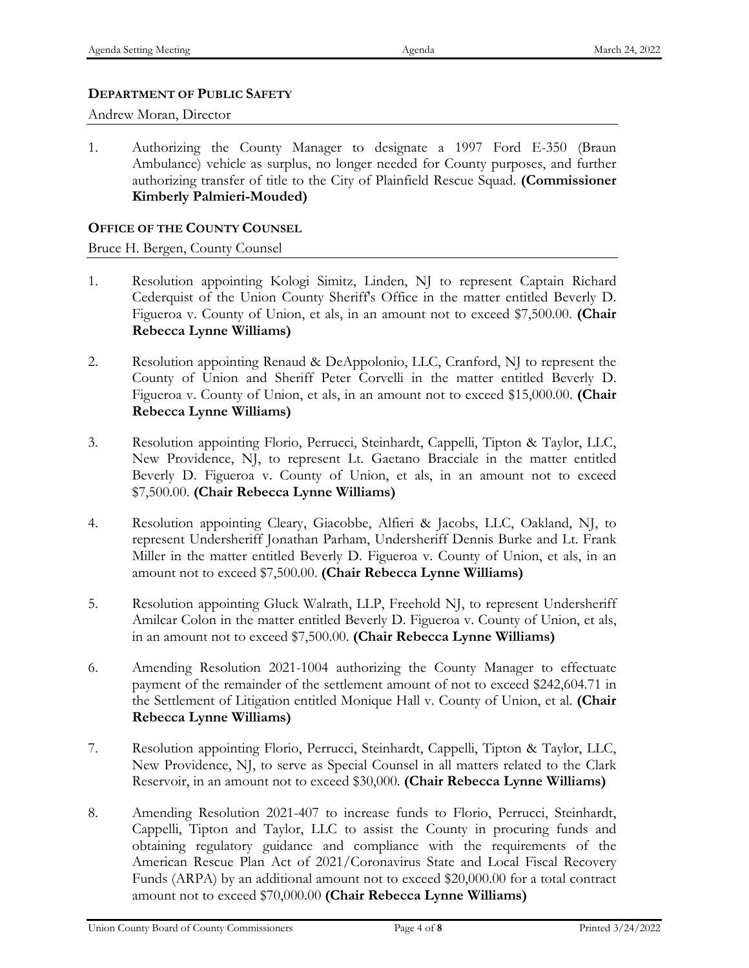# **DEPARTMENT OF PUBLIC SAFETY**

Andrew Moran, Director

1. Authorizing the County Manager to designate a 1997 Ford E-350 (Braun Ambulance) vehicle as surplus, no longer needed for County purposes, and further authorizing transfer of title to the City of Plainfield Rescue Squad. **(Commissioner Kimberly Palmieri-Mouded)**

#### **OFFICE OF THE COUNTY COUNSEL**

Bruce H. Bergen, County Counsel

- 1. Resolution appointing Kologi Simitz, Linden, NJ to represent Captain Richard Cederquist of the Union County Sheriff's Office in the matter entitled Beverly D. Figueroa v. County of Union, et als, in an amount not to exceed \$7,500.00. **(Chair Rebecca Lynne Williams)**
- 2. Resolution appointing Renaud & DeAppolonio, LLC, Cranford, NJ to represent the County of Union and Sheriff Peter Corvelli in the matter entitled Beverly D. Figueroa v. County of Union, et als, in an amount not to exceed \$15,000.00. **(Chair Rebecca Lynne Williams)**
- 3. Resolution appointing Florio, Perrucci, Steinhardt, Cappelli, Tipton & Taylor, LLC, New Providence, NJ, to represent Lt. Gaetano Bracciale in the matter entitled Beverly D. Figueroa v. County of Union, et als, in an amount not to exceed \$7,500.00. **(Chair Rebecca Lynne Williams)**
- 4. Resolution appointing Cleary, Giacobbe, Alfieri & Jacobs, LLC, Oakland, NJ, to represent Undersheriff Jonathan Parham, Undersheriff Dennis Burke and Lt. Frank Miller in the matter entitled Beverly D. Figueroa v. County of Union, et als, in an amount not to exceed \$7,500.00. **(Chair Rebecca Lynne Williams)**
- 5. Resolution appointing Gluck Walrath, LLP, Freehold NJ, to represent Undersheriff Amilcar Colon in the matter entitled Beverly D. Figueroa v. County of Union, et als, in an amount not to exceed \$7,500.00. **(Chair Rebecca Lynne Williams)**
- 6. Amending Resolution 2021-1004 authorizing the County Manager to effectuate payment of the remainder of the settlement amount of not to exceed \$242,604.71 in the Settlement of Litigation entitled Monique Hall v. County of Union, et al. **(Chair Rebecca Lynne Williams)**
- 7. Resolution appointing Florio, Perrucci, Steinhardt, Cappelli, Tipton & Taylor, LLC, New Providence, NJ, to serve as Special Counsel in all matters related to the Clark Reservoir, in an amount not to exceed \$30,000. **(Chair Rebecca Lynne Williams)**
- 8. Amending Resolution 2021-407 to increase funds to Florio, Perrucci, Steinhardt, Cappelli, Tipton and Taylor, LLC to assist the County in procuring funds and obtaining regulatory guidance and compliance with the requirements of the American Rescue Plan Act of 2021/Coronavirus State and Local Fiscal Recovery Funds (ARPA) by an additional amount not to exceed \$20,000.00 for a total contract amount not to exceed \$70,000.00 **(Chair Rebecca Lynne Williams)**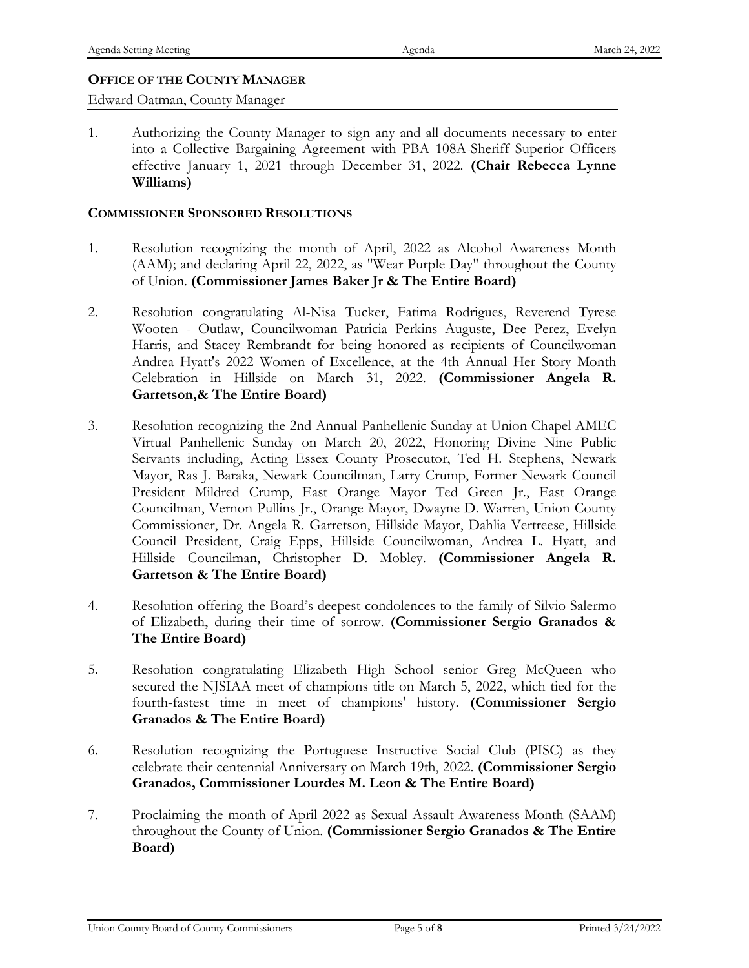#### **OFFICE OF THE COUNTY MANAGER**

Edward Oatman, County Manager

1. Authorizing the County Manager to sign any and all documents necessary to enter into a Collective Bargaining Agreement with PBA 108A-Sheriff Superior Officers effective January 1, 2021 through December 31, 2022. **(Chair Rebecca Lynne Williams)**

#### **COMMISSIONER SPONSORED RESOLUTIONS**

- 1. Resolution recognizing the month of April, 2022 as Alcohol Awareness Month (AAM); and declaring April 22, 2022, as "Wear Purple Day" throughout the County of Union. **(Commissioner James Baker Jr & The Entire Board)**
- 2. Resolution congratulating Al-Nisa Tucker, Fatima Rodrigues, Reverend Tyrese Wooten - Outlaw, Councilwoman Patricia Perkins Auguste, Dee Perez, Evelyn Harris, and Stacey Rembrandt for being honored as recipients of Councilwoman Andrea Hyatt's 2022 Women of Excellence, at the 4th Annual Her Story Month Celebration in Hillside on March 31, 2022. **(Commissioner Angela R. Garretson,& The Entire Board)**
- 3. Resolution recognizing the 2nd Annual Panhellenic Sunday at Union Chapel AMEC Virtual Panhellenic Sunday on March 20, 2022, Honoring Divine Nine Public Servants including, Acting Essex County Prosecutor, Ted H. Stephens, Newark Mayor, Ras J. Baraka, Newark Councilman, Larry Crump, Former Newark Council President Mildred Crump, East Orange Mayor Ted Green Jr., East Orange Councilman, Vernon Pullins Jr., Orange Mayor, Dwayne D. Warren, Union County Commissioner, Dr. Angela R. Garretson, Hillside Mayor, Dahlia Vertreese, Hillside Council President, Craig Epps, Hillside Councilwoman, Andrea L. Hyatt, and Hillside Councilman, Christopher D. Mobley. **(Commissioner Angela R. Garretson & The Entire Board)**
- 4. Resolution offering the Board's deepest condolences to the family of Silvio Salermo of Elizabeth, during their time of sorrow. **(Commissioner Sergio Granados & The Entire Board)**
- 5. Resolution congratulating Elizabeth High School senior Greg McQueen who secured the NJSIAA meet of champions title on March 5, 2022, which tied for the fourth-fastest time in meet of champions' history. **(Commissioner Sergio Granados & The Entire Board)**
- 6. Resolution recognizing the Portuguese Instructive Social Club (PISC) as they celebrate their centennial Anniversary on March 19th, 2022. **(Commissioner Sergio Granados, Commissioner Lourdes M. Leon & The Entire Board)**
- 7. Proclaiming the month of April 2022 as Sexual Assault Awareness Month (SAAM) throughout the County of Union. **(Commissioner Sergio Granados & The Entire Board)**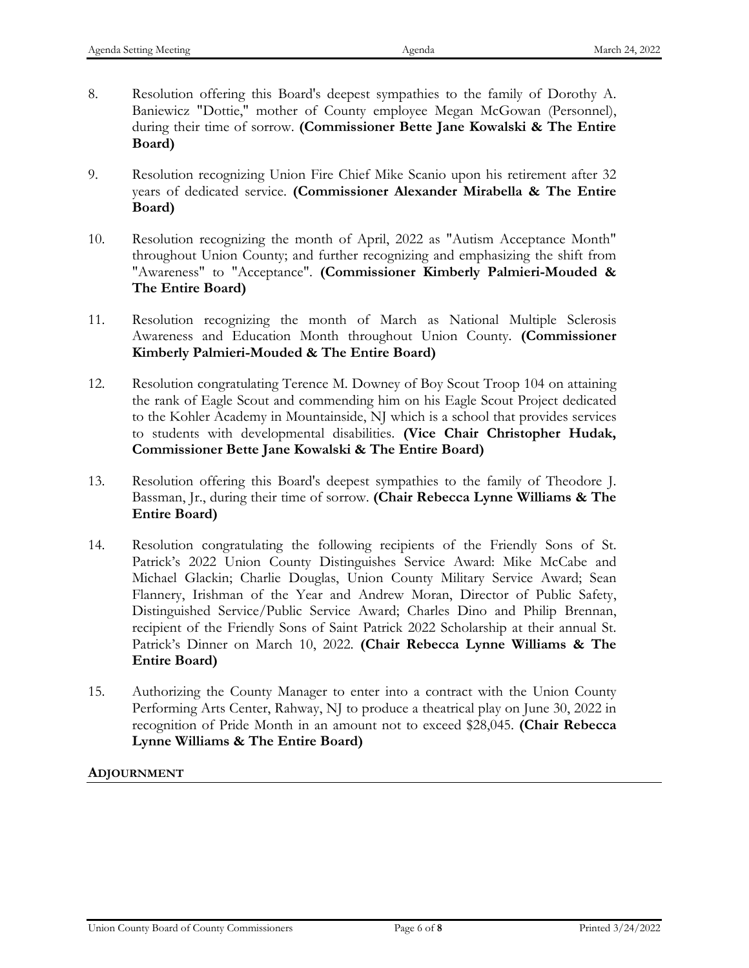- 8. Resolution offering this Board's deepest sympathies to the family of Dorothy A. Baniewicz "Dottie," mother of County employee Megan McGowan (Personnel), during their time of sorrow. **(Commissioner Bette Jane Kowalski & The Entire Board)**
- 9. Resolution recognizing Union Fire Chief Mike Scanio upon his retirement after 32 years of dedicated service. **(Commissioner Alexander Mirabella & The Entire Board)**
- 10. Resolution recognizing the month of April, 2022 as "Autism Acceptance Month" throughout Union County; and further recognizing and emphasizing the shift from "Awareness" to "Acceptance". **(Commissioner Kimberly Palmieri-Mouded & The Entire Board)**
- 11. Resolution recognizing the month of March as National Multiple Sclerosis Awareness and Education Month throughout Union County. **(Commissioner Kimberly Palmieri-Mouded & The Entire Board)**
- 12. Resolution congratulating Terence M. Downey of Boy Scout Troop 104 on attaining the rank of Eagle Scout and commending him on his Eagle Scout Project dedicated to the Kohler Academy in Mountainside, NJ which is a school that provides services to students with developmental disabilities. **(Vice Chair Christopher Hudak, Commissioner Bette Jane Kowalski & The Entire Board)**
- 13. Resolution offering this Board's deepest sympathies to the family of Theodore J. Bassman, Jr., during their time of sorrow. **(Chair Rebecca Lynne Williams & The Entire Board)**
- 14. Resolution congratulating the following recipients of the Friendly Sons of St. Patrick's 2022 Union County Distinguishes Service Award: Mike McCabe and Michael Glackin; Charlie Douglas, Union County Military Service Award; Sean Flannery, Irishman of the Year and Andrew Moran, Director of Public Safety, Distinguished Service/Public Service Award; Charles Dino and Philip Brennan, recipient of the Friendly Sons of Saint Patrick 2022 Scholarship at their annual St. Patrick's Dinner on March 10, 2022. **(Chair Rebecca Lynne Williams & The Entire Board)**
- 15. Authorizing the County Manager to enter into a contract with the Union County Performing Arts Center, Rahway, NJ to produce a theatrical play on June 30, 2022 in recognition of Pride Month in an amount not to exceed \$28,045. **(Chair Rebecca Lynne Williams & The Entire Board)**

#### **ADJOURNMENT**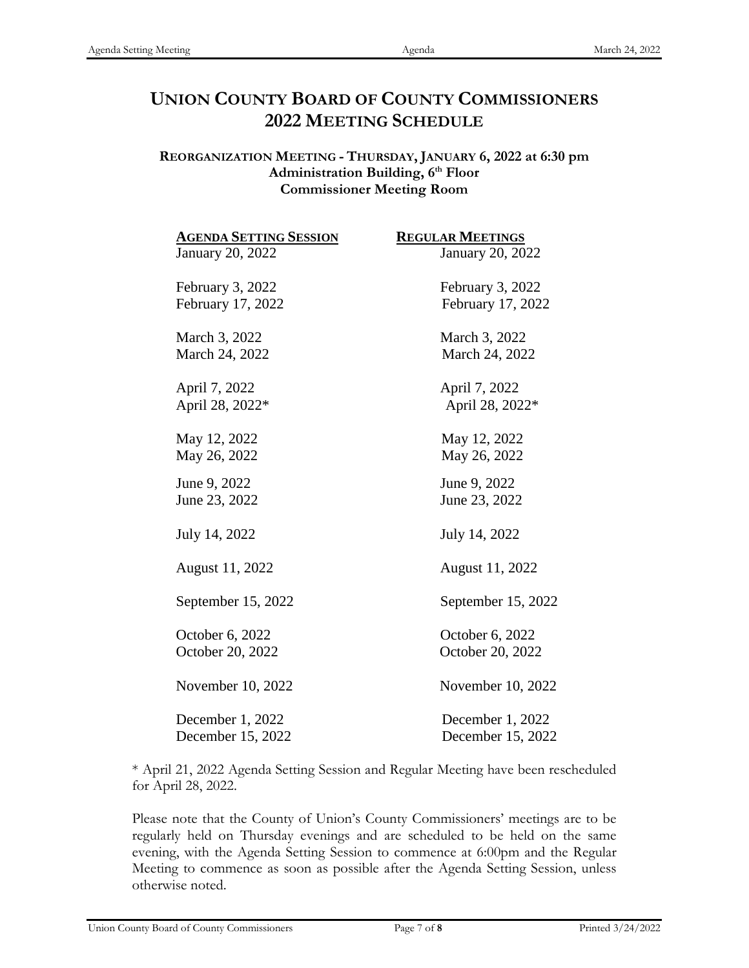# **UNION COUNTY BOARD OF COUNTY COMMISSIONERS 2022 MEETING SCHEDULE**

#### **REORGANIZATION MEETING - THURSDAY, JANUARY 6, 2022 at 6:30 pm** Administration Building, 6<sup>th</sup> Floor **Commissioner Meeting Room**

| <b>AGENDA SETTING SESSION</b> | <b>REGULAR MEETINGS</b> |
|-------------------------------|-------------------------|
| January 20, 2022              | January 20, 2022        |
| February 3, 2022              | February 3, 2022        |
| February 17, 2022             | February 17, 2022       |
| March 3, 2022                 | March 3, 2022           |
| March 24, 2022                | March 24, 2022          |
| April 7, 2022                 | April 7, 2022           |
| April 28, 2022*               | April 28, 2022*         |
| May 12, 2022                  | May 12, 2022            |
| May 26, 2022                  | May 26, 2022            |
| June 9, 2022                  | June 9, 2022            |
| June 23, 2022                 | June 23, 2022           |
| July 14, 2022                 | July 14, 2022           |
| August 11, 2022               | August 11, 2022         |
| September 15, 2022            | September 15, 2022      |
| October 6, 2022               | October 6, 2022         |
| October 20, 2022              | October 20, 2022        |
| November 10, 2022             | November 10, 2022       |
| December 1, 2022              | December 1, 2022        |
| December 15, 2022             | December 15, 2022       |

\* April 21, 2022 Agenda Setting Session and Regular Meeting have been rescheduled for April 28, 2022.

Please note that the County of Union's County Commissioners' meetings are to be regularly held on Thursday evenings and are scheduled to be held on the same evening, with the Agenda Setting Session to commence at 6:00pm and the Regular Meeting to commence as soon as possible after the Agenda Setting Session, unless otherwise noted.